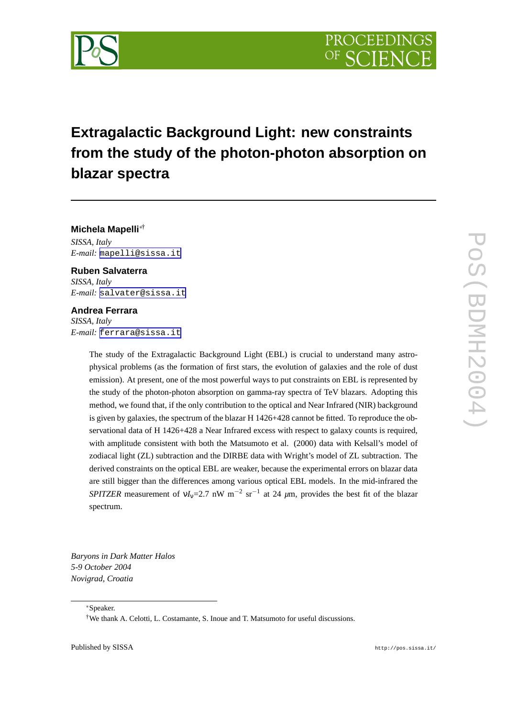



# **Extragalactic Background Light: new constraints from the study of the photon-photon absorption on blazar spectra**

**Michela Mapelli**∗† *SISSA, Italy E-mail:* [mapelli@sissa.it](mailto:mapelli@sissa.it)

**Ruben Salvaterra** *SISSA, Italy E-mail:* [salvater@sissa.it](mailto:salvater@sissa.it)

## **Andrea Ferrara**

*SISSA, Italy E-mail:* [ferrara@sissa.it](mailto:ferrara@sissa.it)

> The study of the Extragalactic Background Light (EBL) is crucial to understand many astrophysical problems (as the formation of first stars, the evolution of galaxies and the role of dust emission). At present, one of the most powerful ways to put constraints on EBL is represented by the study of the photon-photon absorption on gamma-ray spectra of TeV blazars. Adopting this method, we found that, if the only contribution to the optical and Near Infrared (NIR) background is given by galaxies, the spectrum of the blazar H 1426+428 cannot be fitted. To reproduce the observational data of H 1426+428 a Near Infrared excess with respect to galaxy counts is required, with amplitude consistent with both the Matsumoto et al. (2000) data with Kelsall's model of zodiacal light (ZL) subtraction and the DIRBE data with Wright's model of ZL subtraction. The derived constraints on the optical EBL are weaker, because the experimental errors on blazar data are still bigger than the differences among various optical EBL models. In the mid-infrared the *SPITZER* measurement of  $vI_v=2.7$  nW m<sup>-2</sup> sr<sup>-1</sup> at 24  $\mu$ m, provides the best fit of the blazar spectrum.

*Baryons in Dark Matter Halos 5-9 October 2004 Novigrad, Croatia*

<sup>∗</sup>Speaker.

<sup>†</sup>We thank A. Celotti, L. Costamante, S. Inoue and T. Matsumoto for useful discussions.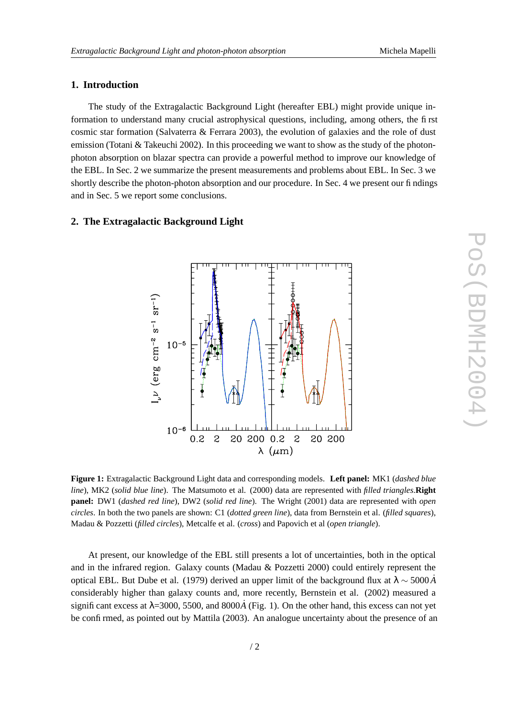# **1. Introduction**

The study of the Extragalactic Background Light (hereafter EBL) might provide unique information to understand many crucial astrophysical questions, including, among others, the first cosmic star formation (Salvaterra & Ferrara 2003), the evolution of galaxies and the role of dust emission (Totani & Takeuchi 2002). In this proceeding we want to show as the study of the photonphoton absorption on blazar spectra can provide a powerful method to improve our knowledge of the EBL. In Sec. 2 we summarize the present measurements and problems about EBL. In Sec. 3 we shortly describe the photon-photon absorption and our procedure. In Sec. 4 we present our findings and in Sec. 5 we report some conclusions.

## **2. The Extragalactic Background Light**



**Figure 1:** Extragalactic Background Light data and corresponding models. **Left panel:** MK1 (*dashed blue line*), MK2 (*solid blue line*). The Matsumoto et al. (2000) data are represented with *filled triangles*.**Right panel:** DW1 (*dashed red line*), DW2 (*solid red line*). The Wright (2001) data are represented with *open circles*. In both the two panels are shown: C1 (*dotted green line*), data from Bernstein et al. (*filled squares*), Madau & Pozzetti (*filled circles*), Metcalfe et al. (*cross*) and Papovich et al (*open triangle*).

At present, our knowledge of the EBL still presents a lot of uncertainties, both in the optical and in the infrared region. Galaxy counts (Madau & Pozzetti 2000) could entirely represent the optical EBL. But Dube et al. (1979) derived an upper limit of the background flux at  $\lambda \sim 5000 \AA$ considerably higher than galaxy counts and, more recently, Bernstein et al. (2002) measured a significant excess at  $\lambda$ =3000, 5500, and 8000 $\dot{A}$  (Fig. 1). On the other hand, this excess can not yet be confirmed, as pointed out by Mattila (2003). An analogue uncertainty about the presence of an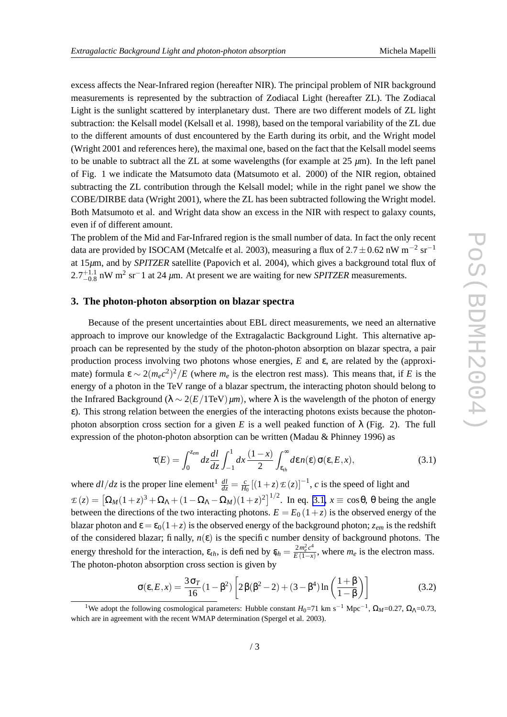<span id="page-2-0"></span>excess affects the Near-Infrared region (hereafter NIR). The principal problem of NIR background measurements is represented by the subtraction of Zodiacal Light (hereafter ZL). The Zodiacal Light is the sunlight scattered by interplanetary dust. There are two different models of ZL light subtraction: the Kelsall model (Kelsall et al. 1998), based on the temporal variability of the ZL due to the different amounts of dust encountered by the Earth during its orbit, and the Wright model (Wright 2001 and references here), the maximal one, based on the fact that the Kelsall model seems to be unable to subtract all the ZL at some wavelengths (for example at 25 *µ*m). In the left panel of Fig. 1 we indicate the Matsumoto data (Matsumoto et al. 2000) of the NIR region, obtained subtracting the ZL contribution through the Kelsall model; while in the right panel we show the COBE/DIRBE data (Wright 2001), where the ZL has been subtracted following the Wright model. Both Matsumoto et al. and Wright data show an excess in the NIR with respect to galaxy counts, even if of different amount.

The problem of the Mid and Far-Infrared region is the small number of data. In fact the only recent data are provided by ISOCAM (Metcalfe et al. 2003), measuring a flux of 2.7 ± 0.62 nW m<sup>-2</sup> sr<sup>-1</sup> at 15*µ*m, and by *SPITZER* satellite (Papovich et al. 2004), which gives a background total flux of  $2.7^{+1.1}_{-0.8}$  nW m<sup>2</sup> sr<sup>-</sup>1 at 24  $\mu$ m. At present we are waiting for new *SPITZER* measurements.

#### **3. The photon-photon absorption on blazar spectra**

Because of the present uncertainties about EBL direct measurements, we need an alternative approach to improve our knowledge of the Extragalactic Background Light. This alternative approach can be represented by the study of the photon-photon absorption on blazar spectra, a pair production process involving two photons whose energies, *E* and ε, are related by the (approximate) formula  $\epsilon \sim 2(m_e c^2)^2/E$  (where  $m_e$  is the electron rest mass). This means that, if *E* is the energy of a photon in the TeV range of a blazar spectrum, the interacting photon should belong to the Infrared Background ( $\lambda \sim 2(E/1\text{TeV}) \mu m$ ), where  $\lambda$  is the wavelength of the photon of energy ε). This strong relation between the energies of the interacting photons exists because the photonphoton absorption cross section for a given *E* is a well peaked function of  $\lambda$  (Fig. 2). The full expression of the photon-photon absorption can be written (Madau & Phinney 1996) as

$$
\tau(E) = \int_0^{z_{em}} dz \frac{dl}{dz} \int_{-1}^1 dx \frac{(1-x)}{2} \int_{\varepsilon_{th}}^{\infty} d\varepsilon n(\varepsilon) \sigma(\varepsilon, E, x), \tag{3.1}
$$

where  $dl/dz$  is the proper line element<sup>1</sup>  $\frac{dl}{dz} = \frac{c}{Hd}$  $\frac{c}{H_0}$  [(1+*z*)  $\mathcal{E}(z)$ ]<sup>-1</sup>, *c* is the speed of light and  $\mathcal{L}(z) = \left[\Omega_M(1+z)^3 + \Omega_\Lambda + (1-\Omega_\Lambda - \Omega_M)(1+z)^2\right]^{1/2}$ . In eq. 3.1,  $x \equiv \cos\theta$ ,  $\theta$  being the angle between the directions of the two interacting photons.  $E = E_0 (1 + z)$  is the observed energy of the blazar photon and  $\epsilon = \epsilon_0(1+z)$  is the observed energy of the background photon;  $z_{em}$  is the redshift of the considered blazar; finally,  $n(\varepsilon)$  is the specific number density of background photons. The energy threshold for the interaction,  $\varepsilon_{th}$ , is defined by  $\varepsilon_h = \frac{2m_e^2c^4}{E(1-x)}$  $\frac{2m_e^2 C}{E(1-x)}$ , where  $m_e$  is the electron mass. The photon-photon absorption cross section is given by

$$
\sigma(\varepsilon, E, x) = \frac{3\sigma_T}{16} (1 - \beta^2) \left[ 2\beta(\beta^2 - 2) + (3 - \beta^4) \ln\left(\frac{1 + \beta}{1 - \beta}\right) \right]
$$
(3.2)

<sup>&</sup>lt;sup>1</sup>We adopt the following cosmological parameters: Hubble constant *H*<sub>0</sub>=71 km s<sup>-1</sup> Mpc<sup>-1</sup>, Ω<sub>*M*</sub>=0.27, Ω<sub>Λ</sub>=0.73, which are in agreement with the recent WMAP determination (Spergel et al. 2003).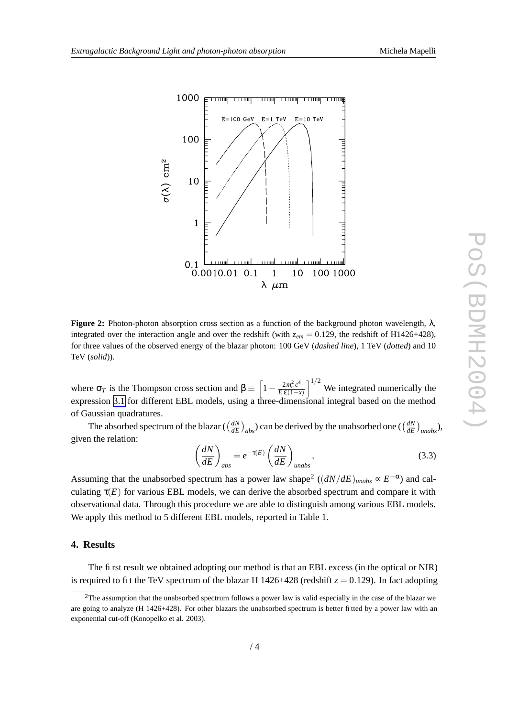

**Figure 2:** Photon-photon absorption cross section as a function of the background photon wavelength,  $\lambda$ , integrated over the interaction angle and over the redshift (with  $z_{em} = 0.129$ , the redshift of H1426+428), for three values of the observed energy of the blazar photon: 100 GeV (*dashed line*), 1 TeV (*dotted*) and 10 TeV (*solid*)).

where  $\sigma_T$  is the Thompson cross section and  $\beta \equiv \left[1 - \frac{2m_e^2 c^4}{E \epsilon (1 - \lambda)}\right]$  $\left[\frac{2m_e^2c^4}{E\epsilon(1-x)}\right]^{1/2}$  We integrated numerically the expression [3.1](#page-2-0) for different EBL models, using a three-dimensional integral based on the method of Gaussian quadratures.

The absorbed spectrum of the blazar ( $\left(\frac{dN}{dE}\right)$  $\left(\frac{dN}{dE}\right)_{abs}$ ) can be derived by the unabsorbed one ( $\left(\frac{dN}{dE}\right)_{abs}$ *dE unabs*), given the relation:

$$
\left(\frac{dN}{dE}\right)_{abs} = e^{-\tau(E)} \left(\frac{dN}{dE}\right)_{unabs},\tag{3.3}
$$

Assuming that the unabsorbed spectrum has a power law shape<sup>2</sup>  $((dN/dE)_{unabs} \propto E^{-\alpha})$  and calculating  $\tau(E)$  for various EBL models, we can derive the absorbed spectrum and compare it with observational data. Through this procedure we are able to distinguish among various EBL models. We apply this method to 5 different EBL models, reported in Table 1.

# **4. Results**

The first result we obtained adopting our method is that an EBL excess (in the optical or NIR) is required to fit the TeV spectrum of the blazar H 1426+428 (redshift  $z = 0.129$ ). In fact adopting

 $2$ The assumption that the unabsorbed spectrum follows a power law is valid especially in the case of the blazar we are going to analyze (H 1426+428). For other blazars the unabsorbed spectrum is better fitted by a power law with an exponential cut-off (Konopelko et al. 2003).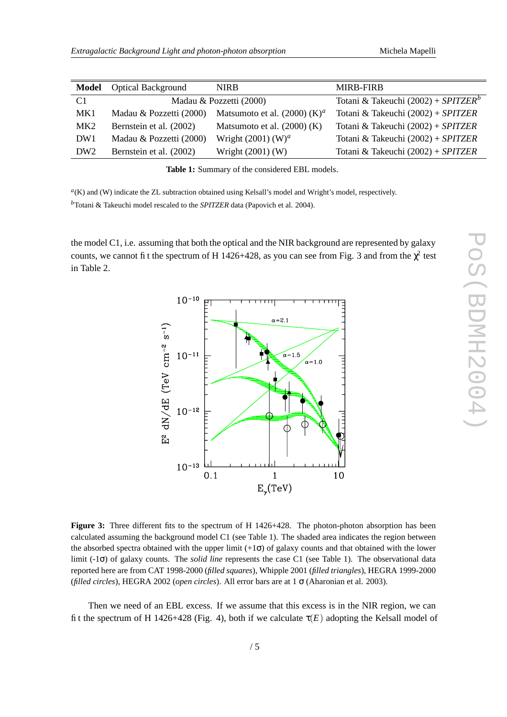| <b>Model</b>    | <b>Optical Background</b> | <b>NIRB</b>                              | <b>MIRB-FIRB</b>                                |
|-----------------|---------------------------|------------------------------------------|-------------------------------------------------|
| C <sub>1</sub>  |                           | Madau & Pozzetti (2000)                  | Totani & Takeuchi (2002) + SPITZER <sup>b</sup> |
| MK1             | Madau & Pozzetti (2000)   | Matsumoto et al. (2000) (K) <sup>a</sup> | Totani & Takeuchi (2002) + SPITZER              |
| MK <sub>2</sub> | Bernstein et al. (2002)   | Matsumoto et al. $(2000)$ (K)            | Totani & Takeuchi $(2002) + SPITZER$            |
| DW <sub>1</sub> | Madau & Pozzetti (2000)   | Wright $(2001)$ (W) <sup>a</sup>         | Totani & Takeuchi (2002) + SPITZER              |
| DW <sub>2</sub> | Bernstein et al. (2002)   | Wright (2001) (W)                        | Totani & Takeuchi (2002) + SPITZER              |

**Table 1:** Summary of the considered EBL models.

*a* (K) and (W) indicate the ZL subtraction obtained using Kelsall's model and Wright's model, respectively. *<sup>b</sup>*Totani & Takeuchi model rescaled to the *SPITZER* data (Papovich et al. 2004).

the model C1, i.e. assuming that both the optical and the NIR background are represented by galaxy counts, we cannot fit the spectrum of H 1426+428, as you can see from Fig. 3 and from the  $\chi^2$  test in Table 2.



**Figure 3:** Three different fits to the spectrum of H 1426+428. The photon-photon absorption has been calculated assuming the background model C1 (see Table 1). The shaded area indicates the region between the absorbed spectra obtained with the upper limit  $(+1\sigma)$  of galaxy counts and that obtained with the lower limit (-1σ) of galaxy counts. The *solid line* represents the case C1 (see Table 1). The observational data reported here are from CAT 1998-2000 (*filled squares*), Whipple 2001 (*filled triangles*), HEGRA 1999-2000 (*filled circles*), HEGRA 2002 (*open circles*). All error bars are at 1 σ (Aharonian et al. 2003).

Then we need of an EBL excess. If we assume that this excess is in the NIR region, we can fit the spectrum of H 1426+428 (Fig. 4), both if we calculate  $\tau(E)$  adopting the Kelsall model of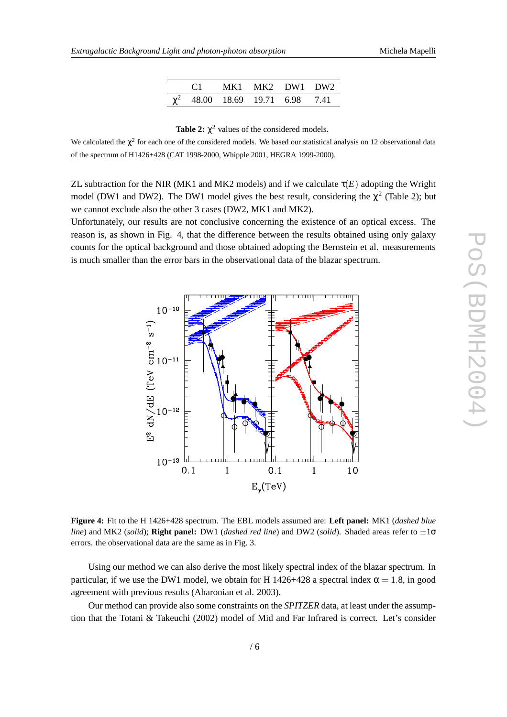|  |                                      | MK1 MK2 DW1 DW2 |  |
|--|--------------------------------------|-----------------|--|
|  | $\chi^2$ 48.00 18.69 19.71 6.98 7.41 |                 |  |

| Table 2: $\chi^2$ values of the considered models. |  |  |  |  |
|----------------------------------------------------|--|--|--|--|
|----------------------------------------------------|--|--|--|--|

We calculated the  $\chi^2$  for each one of the considered models. We based our statistical analysis on 12 observational data of the spectrum of H1426+428 (CAT 1998-2000, Whipple 2001, HEGRA 1999-2000).

ZL subtraction for the NIR (MK1 and MK2 models) and if we calculate  $\tau(E)$  adopting the Wright model (DW1 and DW2). The DW1 model gives the best result, considering the  $\chi^2$  (Table 2); but we cannot exclude also the other 3 cases (DW2, MK1 and MK2).

Unfortunately, our results are not conclusive concerning the existence of an optical excess. The reason is, as shown in Fig. 4, that the difference between the results obtained using only galaxy counts for the optical background and those obtained adopting the Bernstein et al. measurements is much smaller than the error bars in the observational data of the blazar spectrum.



**Figure 4:** Fit to the H 1426+428 spectrum. The EBL models assumed are: **Left panel:** MK1 (*dashed blue line*) and MK2 (*solid*); **Right panel:** DW1 (*dashed red line*) and DW2 (*solid*). Shaded areas refer to  $\pm 1\sigma$ errors. the observational data are the same as in Fig. 3.

Using our method we can also derive the most likely spectral index of the blazar spectrum. In particular, if we use the DW1 model, we obtain for H 1426+428 a spectral index  $\alpha = 1.8$ , in good agreement with previous results (Aharonian et al. 2003).

Our method can provide also some constraints on the *SPITZER* data, at least under the assumption that the Totani & Takeuchi (2002) model of Mid and Far Infrared is correct. Let's consider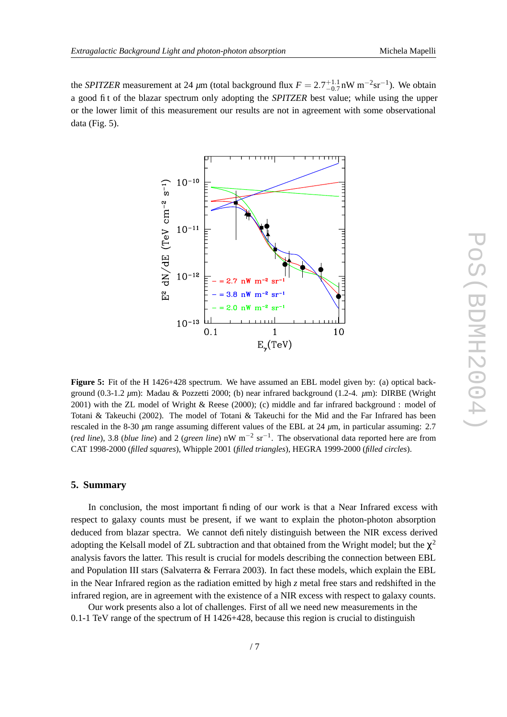the *SPITZER* measurement at 24  $\mu$ m (total background flux  $F = 2.7^{+1.1}_{-0.7}$  nW m<sup>-2</sup>sr<sup>-1</sup>). We obtain a good fit of the blazar spectrum only adopting the *SPITZER* best value; while using the upper or the lower limit of this measurement our results are not in agreement with some observational data (Fig. 5).



**Figure 5:** Fit of the H 1426+428 spectrum. We have assumed an EBL model given by: (a) optical background (0.3-1.2 *µ*m): Madau & Pozzetti 2000; (b) near infrared background (1.2-4. *µ*m): DIRBE (Wright 2001) with the ZL model of Wright & Reese (2000); (c) middle and far infrared background : model of Totani & Takeuchi (2002). The model of Totani & Takeuchi for the Mid and the Far Infrared has been rescaled in the 8-30 *µ*m range assuming different values of the EBL at 24 *µ*m, in particular assuming: 2.7 (*red line*), 3.8 (*blue line*) and 2 (*green line*) nW m−<sup>2</sup> sr−<sup>1</sup> . The observational data reported here are from CAT 1998-2000 (*filled squares*), Whipple 2001 (*filled triangles*), HEGRA 1999-2000 (*filled circles*).

## **5. Summary**

In conclusion, the most important finding of our work is that a Near Infrared excess with respect to galaxy counts must be present, if we want to explain the photon-photon absorption deduced from blazar spectra. We cannot definitely distinguish between the NIR excess derived adopting the Kelsall model of ZL subtraction and that obtained from the Wright model; but the  $\chi^2$ analysis favors the latter. This result is crucial for models describing the connection between EBL and Population III stars (Salvaterra & Ferrara 2003). In fact these models, which explain the EBL in the Near Infrared region as the radiation emitted by high *z* metal free stars and redshifted in the infrared region, are in agreement with the existence of a NIR excess with respect to galaxy counts.

Our work presents also a lot of challenges. First of all we need new measurements in the 0.1-1 TeV range of the spectrum of H 1426+428, because this region is crucial to distinguish